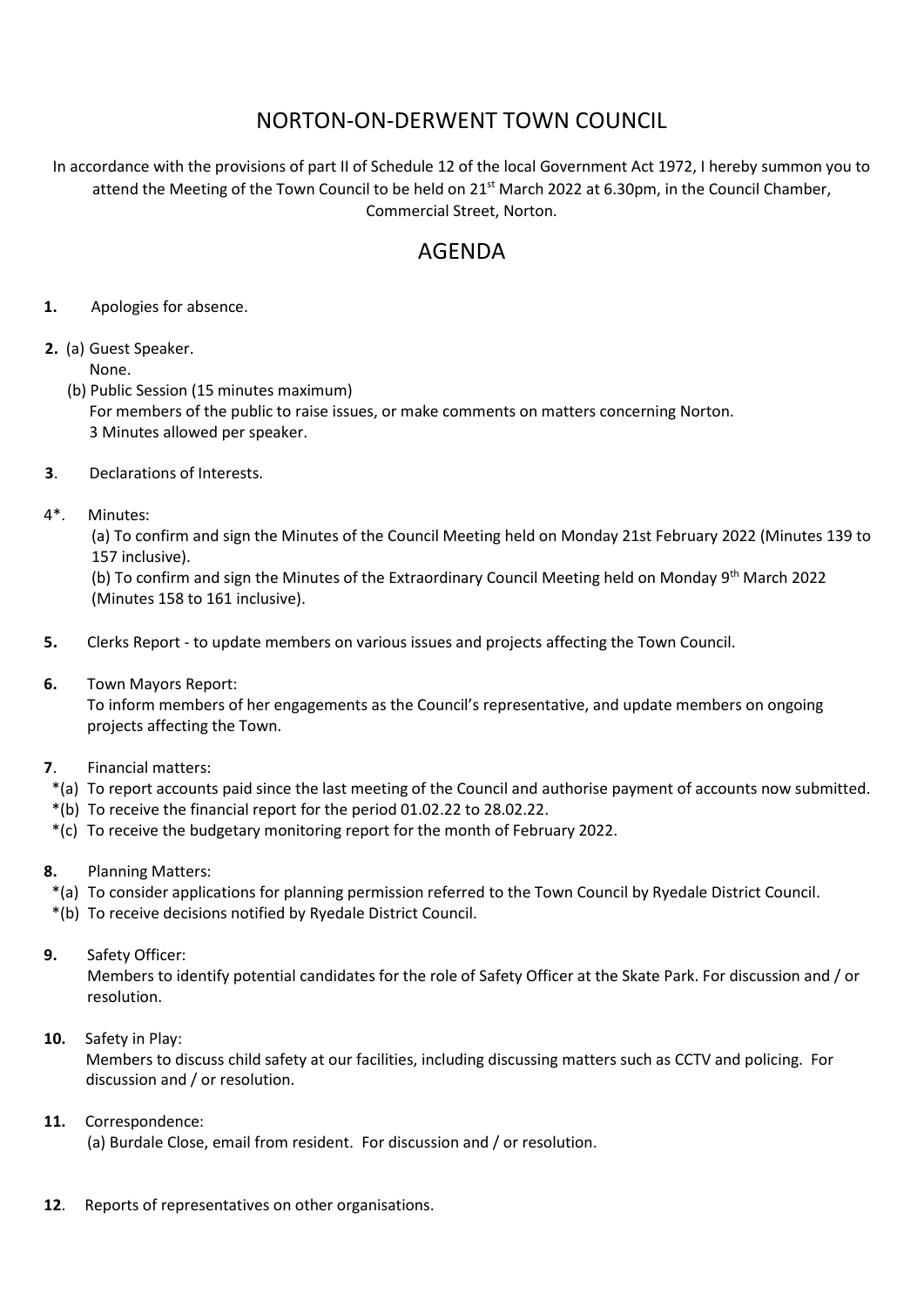## NORTON-ON-DERWENT TOWN COUNCIL

In accordance with the provisions of part II of Schedule 12 of the local Government Act 1972, I hereby summon you to attend the Meeting of the Town Council to be held on 21<sup>st</sup> March 2022 at 6.30pm, in the Council Chamber, Commercial Street, Norton.

## AGENDA

- **1.** Apologies for absence.
- **2.** (a) Guest Speaker. None.
	- (b) Public Session (15 minutes maximum) For members of the public to raise issues, or make comments on matters concerning Norton. 3 Minutes allowed per speaker.
- **3**. Declarations of Interests.
- 4\*. Minutes:

(a) To confirm and sign the Minutes of the Council Meeting held on Monday 21st February 2022 (Minutes 139 to 157 inclusive).

(b) To confirm and sign the Minutes of the Extraordinary Council Meeting held on Monday 9<sup>th</sup> March 2022 (Minutes 158 to 161 inclusive).

- **5.** Clerks Report to update members on various issues and projects affecting the Town Council.
- **6.** Town Mayors Report:

 To inform members of her engagements as the Council's representative, and update members on ongoing projects affecting the Town.

- **7**. Financial matters:
- \*(a) To report accounts paid since the last meeting of the Council and authorise payment of accounts now submitted.
- \*(b) To receive the financial report for the period 01.02.22 to 28.02.22.
- \*(c) To receive the budgetary monitoring report for the month of February 2022.
- **8.** Planning Matters:
- \*(a) To consider applications for planning permission referred to the Town Council by Ryedale District Council.
- \*(b) To receive decisions notified by Ryedale District Council.
- **9.** Safety Officer:

Members to identify potential candidates for the role of Safety Officer at the Skate Park. For discussion and / or resolution.

**10.** Safety in Play:

Members to discuss child safety at our facilities, including discussing matters such as CCTV and policing. For discussion and / or resolution.

**11.** Correspondence:

(a) Burdale Close, email from resident. For discussion and / or resolution.

**12**. Reports of representatives on other organisations.